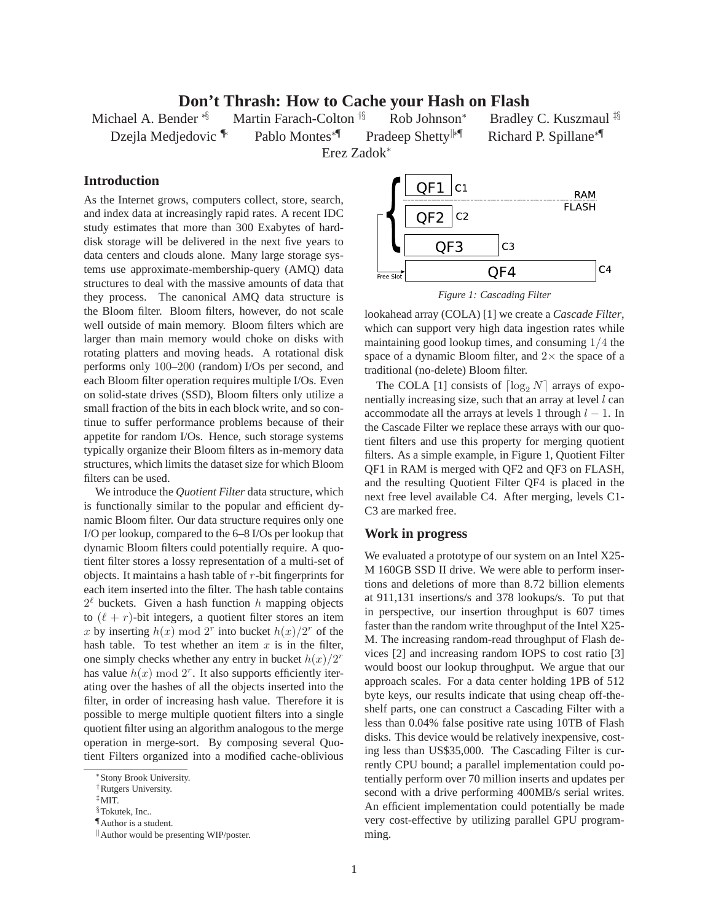## **Don't Thrash: How to Cache your Hash on Flash**

Erez Zadok<sup>∗</sup>

Michael A. Bender <sup>\*§</sup> Martin Farach-Colton <sup>†§</sup> Rob Johnson<sup>\*</sup> Bradley C. Kuszmaul <sup>‡§</sup> Dzejla Medjedovic <sup>†</sup> Pablo Montes<sup>∗¶</sup> Pradeep Shetty<sup>|∤∗¶</sup> Richard P. Spillane<sup>∗¶</sup>

## **Introduction**

As the Internet grows, computers collect, store, search, and index data at increasingly rapid rates. A recent IDC study estimates that more than 300 Exabytes of harddisk storage will be delivered in the next five years to data centers and clouds alone. Many large storage systems use approximate-membership-query (AMQ) data structures to deal with the massive amounts of data that they process. The canonical AMQ data structure is the Bloom filter. Bloom filters, however, do not scale well outside of main memory. Bloom filters which are larger than main memory would choke on disks with rotating platters and moving heads. A rotational disk performs only 100–200 (random) I/Os per second, and each Bloom filter operation requires multiple I/Os. Even on solid-state drives (SSD), Bloom filters only utilize a small fraction of the bits in each block write, and so continue to suffer performance problems because of their appetite for random I/Os. Hence, such storage systems typically organize their Bloom filters as in-memory data structures, which limits the dataset size for which Bloom filters can be used.

We introduce the *Quotient Filter* data structure, which is functionally similar to the popular and efficient dynamic Bloom filter. Our data structure requires only one I/O per lookup, compared to the 6–8 I/Os per lookup that dynamic Bloom filters could potentially require. A quotient filter stores a lossy representation of a multi-set of objects. It maintains a hash table of  $r$ -bit fingerprints for each item inserted into the filter. The hash table contains  $2^{\ell}$  buckets. Given a hash function h mapping objects to  $(\ell + r)$ -bit integers, a quotient filter stores an item x by inserting  $h(x) \mod 2^r$  into bucket  $h(x)/2^r$  of the hash table. To test whether an item  $x$  is in the filter, one simply checks whether any entry in bucket  $h(x)/2^r$ has value  $h(x) \mod 2^r$ . It also supports efficiently iterating over the hashes of all the objects inserted into the filter, in order of increasing hash value. Therefore it is possible to merge multiple quotient filters into a single quotient filter using an algorithm analogous to the merge operation in merge-sort. By composing several Quotient Filters organized into a modified cache-oblivious



*Figure 1: Cascading Filter*

lookahead array (COLA) [1] we create a *Cascade Filter*, which can support very high data ingestion rates while maintaining good lookup times, and consuming 1/4 the space of a dynamic Bloom filter, and  $2\times$  the space of a traditional (no-delete) Bloom filter.

The COLA [1] consists of  $\lceil \log_2 N \rceil$  arrays of exponentially increasing size, such that an array at level  $l$  can accommodate all the arrays at levels 1 through  $l - 1$ . In the Cascade Filter we replace these arrays with our quotient filters and use this property for merging quotient filters. As a simple example, in Figure 1, Quotient Filter QF1 in RAM is merged with QF2 and QF3 on FLASH, and the resulting Quotient Filter QF4 is placed in the next free level available C4. After merging, levels C1- C3 are marked free.

## **Work in progress**

We evaluated a prototype of our system on an Intel X25- M 160GB SSD II drive. We were able to perform insertions and deletions of more than 8.72 billion elements at 911,131 insertions/s and 378 lookups/s. To put that in perspective, our insertion throughput is 607 times faster than the random write throughput of the Intel X25- M. The increasing random-read throughput of Flash devices [2] and increasing random IOPS to cost ratio [3] would boost our lookup throughput. We argue that our approach scales. For a data center holding 1PB of 512 byte keys, our results indicate that using cheap off-theshelf parts, one can construct a Cascading Filter with a less than 0.04% false positive rate using 10TB of Flash disks. This device would be relatively inexpensive, costing less than US\$35,000. The Cascading Filter is currently CPU bound; a parallel implementation could potentially perform over 70 million inserts and updates per second with a drive performing 400MB/s serial writes. An efficient implementation could potentially be made very cost-effective by utilizing parallel GPU programming.

<sup>∗</sup>Stony Brook University.

<sup>†</sup>Rutgers University.

<sup>‡</sup>MIT.

 $§$ Tokutek, Inc...

<sup>¶</sup>Author is a student.

<sup>&</sup>lt;sup>II</sup> Author would be presenting WIP/poster.